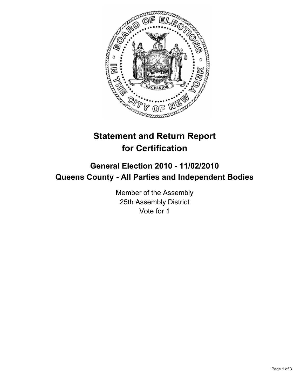

## **Statement and Return Report for Certification**

## **General Election 2010 - 11/02/2010 Queens County - All Parties and Independent Bodies**

Member of the Assembly 25th Assembly District Vote for 1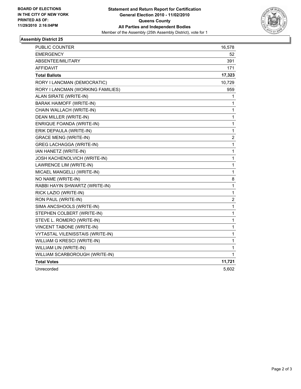

## **Assembly District 25**

| PUBLIC COUNTER                          | 16,578      |
|-----------------------------------------|-------------|
| <b>EMERGENCY</b>                        | 52          |
| ABSENTEE/MILITARY                       | 391         |
| <b>AFFIDAVIT</b>                        | 171         |
| <b>Total Ballots</b>                    | 17,323      |
| RORY I LANCMAN (DEMOCRATIC)             | 10,729      |
| RORY I LANCMAN (WORKING FAMILIES)       | 959         |
| ALAN SIRATE (WRITE-IN)                  | 1           |
| <b>BARAK HAIMOFF (WRITE-IN)</b>         | 1           |
| CHAIN WALLACH (WRITE-IN)                | 1           |
| DEAN MILLER (WRITE-IN)                  | 1           |
| ENRIQUE FOANDA (WRITE-IN)               | 1           |
| ERIK DEPAULA (WRITE-IN)                 | 1           |
| <b>GRACE MENG (WRITE-IN)</b>            | 2           |
| <b>GREG LACHAGGA (WRITE-IN)</b>         | 1           |
| IAN HANETZ (WRITE-IN)                   | 1           |
| JOSH KACHENOLVICH (WRITE-IN)            | $\mathbf 1$ |
| LAWRENCE LIM (WRITE-IN)                 | 1           |
| MICAEL MANGELLI (WRITE-IN)              | 1           |
| NO NAME (WRITE-IN)                      | 8           |
| RABBI HAYIN SHWARTZ (WRITE-IN)          | 1           |
| RICK LAZIO (WRITE-IN)                   | 1           |
| RON PAUL (WRITE-IN)                     | 2           |
| SIMA ANCSHOOLS (WRITE-IN)               | 1           |
| STEPHEN COLBERT (WRITE-IN)              | $\mathbf 1$ |
| STEVE L. ROMERO (WRITE-IN)              | 1           |
| VINCENT TABONE (WRITE-IN)               | 1           |
| <b>VYTASTAL VILENISSTAIS (WRITE-IN)</b> | 1           |
| WILLIAM G KRESCI (WRITE-IN)             | 1           |
| WILLIAM LIN (WRITE-IN)                  | 1           |
| WILLIAM SCARBOROUGH (WRITE-IN)          | 1           |
| <b>Total Votes</b>                      | 11,721      |
| Unrecorded                              | 5,602       |